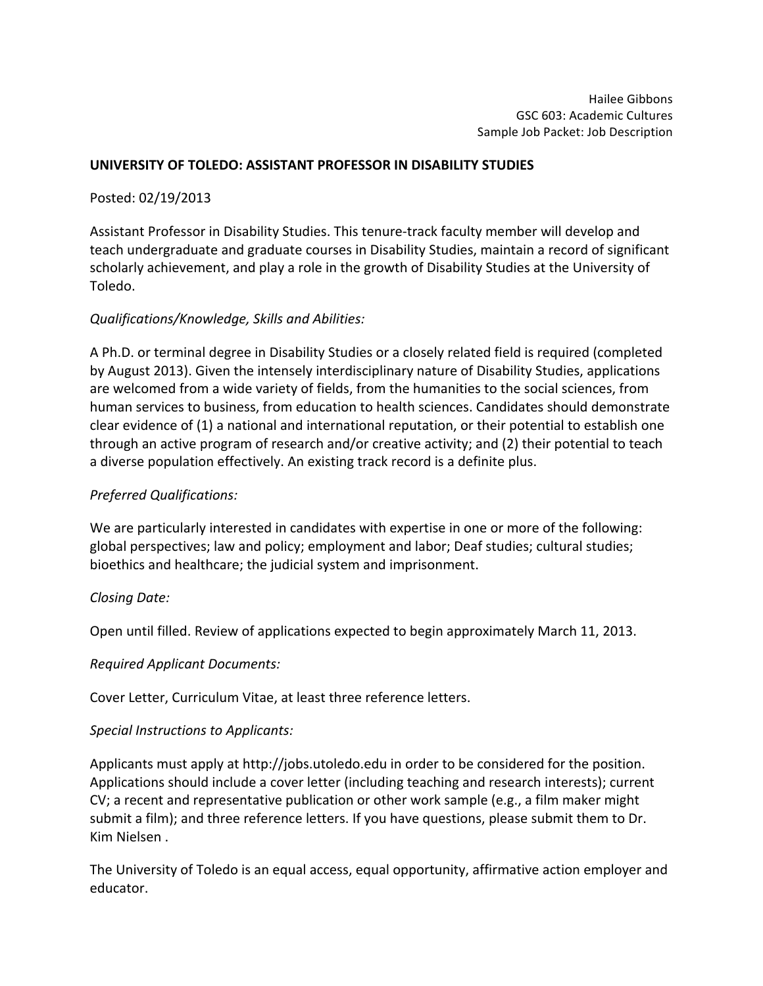## UNIVERSITY OF TOLEDO: ASSISTANT PROFESSOR IN DISABILITY STUDIES

Posted: 02/19/2013

Assistant Professor in Disability Studies. This tenure-track faculty member will develop and teach undergraduate and graduate courses in Disability Studies, maintain a record of significant scholarly achievement, and play a role in the growth of Disability Studies at the University of Toledo.

# *Qualifications/Knowledge, Skills and Abilities:*

A Ph.D. or terminal degree in Disability Studies or a closely related field is required (completed by August 2013). Given the intensely interdisciplinary nature of Disability Studies, applications are welcomed from a wide variety of fields, from the humanities to the social sciences, from human services to business, from education to health sciences. Candidates should demonstrate clear evidence of (1) a national and international reputation, or their potential to establish one through an active program of research and/or creative activity; and (2) their potential to teach a diverse population effectively. An existing track record is a definite plus.

## *Preferred Qualifications:*

We are particularly interested in candidates with expertise in one or more of the following: global perspectives; law and policy; employment and labor; Deaf studies; cultural studies; bioethics and healthcare; the judicial system and imprisonment.

### *Closing Date:*

Open until filled. Review of applications expected to begin approximately March 11, 2013.

*Required Applicant Documents:*

Cover Letter, Curriculum Vitae, at least three reference letters.

### *Special Instructions to Applicants:*

Applicants must apply at http://jobs.utoledo.edu in order to be considered for the position. Applications should include a cover letter (including teaching and research interests); current CV; a recent and representative publication or other work sample (e.g., a film maker might submit a film); and three reference letters. If you have questions, please submit them to Dr. Kim Nielsen .

The University of Toledo is an equal access, equal opportunity, affirmative action employer and educator.